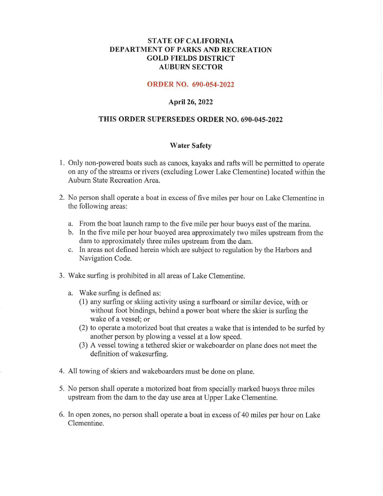## **STATE OF CALIFORNIA DEPARTMENT OF PARKS AND RECREATION GOLD FIELDS DISTRICT AUBURN SECTOR**

#### **ORDER NO. 690-054-2022**

### **April 26, 2022**

#### **THIS ORDER SUPERSEDES ORDER NO. 690-045-2022**

#### **Water Safety**

- 1. Only non-powered boats such as canoes, kayaks and rafts will be permitted to operate on any ofthe streams or rivers (excluding Lower Lake Clementine) located within the Auburn State Recreation Area.
- 2. No person shall operate a boat in excess of five miles per hour on Lake Clementine in the following areas:
	- a. From the boat launch ramp to the five mile per hour buoys east of the marina.
	- b. In the five mile per hour buoyed area approximately two miles upstream from the dam to approximately three miles upstream from the dam.
	- c. In areas not defined herein which are subject to regulation by the Harbors and Navigation Code.
- 3. Wake surfing is prohibited in all areas of Lake Clementine.
	- a. Wake surfing is defined as:
		- (1) any surfing or skiing activity using a surfboard or similar device, with or without foot bindings, behind a power boat where the skier is surfing the wake of a vessel; or
		- (2) to operate a motorized boat that creates a wake that is intended to be surfed by another person by plowing a vessel at a low speed.
		- (3) A vessel towing a tethered skier or wakeboarder on plane does not meet the definition of wakesurfing.
- 4. All towing of skiers and wakeboarders must be done on plane.
- 5. No person shall operate a motorized boat from specially marked buoys three miles upstream from the dam to the day use area at Upper Lake Clementine.
- 6. In open zones, no person shall operate a boat in excess of40 miles per hour on Lake Clementine.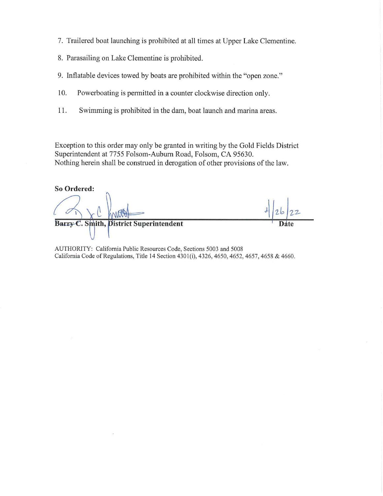- 7. Trailered boat launching is prohibited at all times at Upper Lake Clementine.
- 8. Parasailing on Lake Clementine is prohibited.
- 9. Inflatable devices towed by boats are prohibited within the "open zone."
- 10. Powerboating is permitted in a counter clockwise direction only.
- 11. Swimming is prohibited in the dam, boat launch and marina areas.

Exception to this order may only be granted in writing by the Gold Fields District Superintendent at 7755 Folsom-Auburn Road, Folsom, CA 95630. Nothing herein shall be construed in derogation of other provisions of the law.

**So Ordered:** 

*A*ib *2,1-* **Barry C. Smith, District Superintendent** 

AUTHORITY: California Public Resources Code, Sections 5003 and 5008 California Code of Regulations, Title 14 Section 4301(i), 4326, 4650, 4652, 4657, 4658 & 4660.